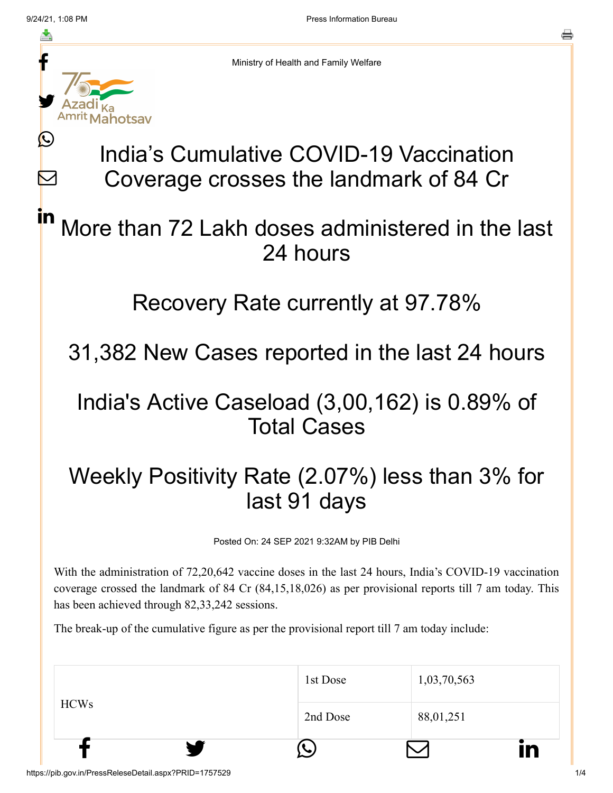M



Ministry of Health and Family Welfare

# India's Cumulative COVID-19 Vaccination Coverage crosses the landmark of 84 Cr

#### More than 72 Lakh doses administered in the last 24 hours in

#### Recovery Rate currently at 97.78%

### 31,382 New Cases reported in the last 24 hours

#### India's Active Caseload (3,00,162) is 0.89% of Total Cases

## Weekly Positivity Rate (2.07%) less than 3% for last 91 days

Posted On: 24 SEP 2021 9:32AM by PIB Delhi

With the administration of 72,20,642 vaccine doses in the last 24 hours, India's COVID-19 vaccination coverage crossed the landmark of 84 Cr (84,15,18,026) as per provisional reports till 7 am today. This has been achieved through 82,33,242 sessions.

The break-up of the cumulative figure as per the provisional report till 7 am today include:

|             | 1st Dose | 1,03,70,563 |    |
|-------------|----------|-------------|----|
| <b>HCWs</b> | 2nd Dose | 88,01,251   |    |
|             |          |             | IN |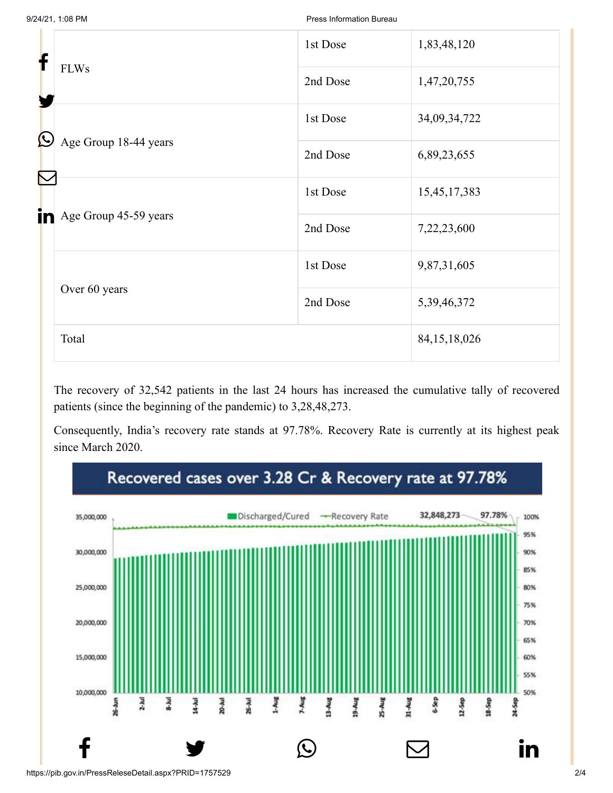| f                                |                       | 1st Dose        | 1,83,48,120  |
|----------------------------------|-----------------------|-----------------|--------------|
| <b>FLWs</b><br>$\bm{\mathbb{O}}$ |                       | 2nd Dose        | 1,47,20,755  |
|                                  |                       | 1st Dose        | 34,09,34,722 |
| in<br>Over 60 years<br>Total     | Age Group 18-44 years | 2nd Dose        | 6,89,23,655  |
|                                  |                       | 1st Dose        | 15,45,17,383 |
|                                  | Age Group 45-59 years | 2nd Dose        | 7,22,23,600  |
|                                  |                       | 1st Dose        | 9,87,31,605  |
|                                  |                       | 2nd Dose        | 5,39,46,372  |
|                                  |                       | 84, 15, 18, 026 |              |

The recovery of 32,542 patients in the last 24 hours has increased the cumulative tally of recovered patients (since the beginning of the pandemic) to 3,28,48,273.

Consequently, India's recovery rate stands at 97.78%. Recovery Rate is currently at its highest peak since March 2020.

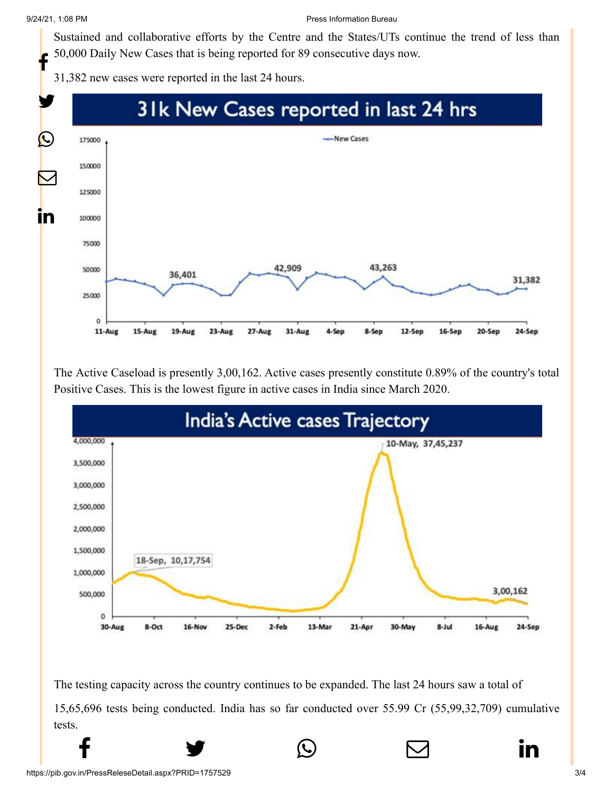[Sustained and co](http://www.facebook.com/share.php?u=https://pib.gov.in/PressReleasePage.aspx?PRID=1757529)[llaborative efforts by t](https://twitter.com/intent/tweet?url=https://pib.gov.in/PressReleasePage.aspx?PRID=1757529&text=India%E2%80%99s%20Cumulative%20COVID-19%20Vaccination%20Coverage%20crosses%20the%20landmark%20of%2084%20Cr)[he Centre and the Sta](https://api.whatsapp.com/send?text=https://pib.gov.in/PressReleasePage.aspx?PRID=1757529)[tes/UTs continue the t](https://mail.google.com/mail/?view=cm&fs=1&tf=1&to=&su=India%E2%80%99s%20Cumulative%20COVID-19%20Vaccination%20Coverage%20crosses%20the%20landmark%20of%2084%20Cr&body=https://pib.gov.in/PressReleasePage.aspx?PRID=1757529&ui=2&tf=1&pli=1)[rend of less than](https://www.linkedin.com/shareArticle?mini=true&url=https://pib.gov.in/PressReleasePage.aspx?PRID=1757529&title=India%E2%80%99s%20Cumulative%20COVID-19%20Vaccination%20Coverage%20crosses%20the%20landmark%20of%2084%20Cr&summary=My%20favorite%20developer%20program&source=LinkedIn) 50,000 Daily New Cases that is being reported for 89 consecutive days now. f

31,382 new cases were reported in the last 24 hours.



The Active Caseload is presently 3,00,162. Active cases presently constitute 0.89% of the country's total Positive Cases. This is the lowest figure in active cases in India since March 2020.



The testing capacity across the country continues to be expanded. The last 24 hours saw a total of 15,65,696 tests being conducted. India has so far conducted over 55.99 Cr (55,99,32,709) cumulative tests.

 $f$   $\rightarrow$   $\circ$   $\quad \circ$  in